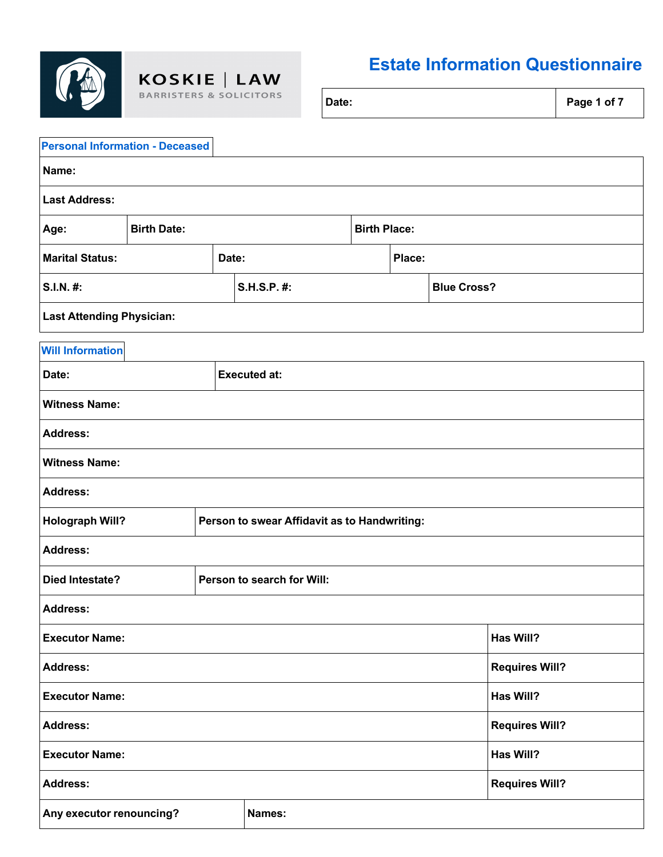

 $\textbf{KOSKIE} \left[ \textbf{ LAW} \atop \text{BARRISTERS & SOLICITORS} \right]$ 

## **Estate Information Questionnaire**

| <b>Personal Information - Deceased</b>                                 |                       |                     |                            |  |                       |  |           |
|------------------------------------------------------------------------|-----------------------|---------------------|----------------------------|--|-----------------------|--|-----------|
| Name:                                                                  |                       |                     |                            |  |                       |  |           |
| <b>Last Address:</b>                                                   |                       |                     |                            |  |                       |  |           |
| Age:                                                                   | <b>Birth Date:</b>    | <b>Birth Place:</b> |                            |  |                       |  |           |
| <b>Marital Status:</b>                                                 |                       | Date:               | Place:                     |  |                       |  |           |
| S.I.N. #:                                                              |                       |                     | S.H.S.P. #:                |  | <b>Blue Cross?</b>    |  |           |
| <b>Last Attending Physician:</b>                                       |                       |                     |                            |  |                       |  |           |
| <b>Will Information</b>                                                |                       |                     |                            |  |                       |  |           |
| Date:                                                                  |                       |                     | <b>Executed at:</b>        |  |                       |  |           |
| <b>Witness Name:</b>                                                   |                       |                     |                            |  |                       |  |           |
| <b>Address:</b>                                                        |                       |                     |                            |  |                       |  |           |
| <b>Witness Name:</b>                                                   |                       |                     |                            |  |                       |  |           |
| <b>Address:</b>                                                        |                       |                     |                            |  |                       |  |           |
| <b>Holograph Will?</b><br>Person to swear Affidavit as to Handwriting: |                       |                     |                            |  |                       |  |           |
| <b>Address:</b>                                                        |                       |                     |                            |  |                       |  |           |
| <b>Died Intestate?</b>                                                 |                       |                     | Person to search for Will: |  |                       |  |           |
| <b>Address:</b>                                                        |                       |                     |                            |  |                       |  |           |
| <b>Executor Name:</b>                                                  |                       |                     |                            |  |                       |  | Has Will? |
| <b>Address:</b>                                                        | <b>Requires Will?</b> |                     |                            |  |                       |  |           |
| <b>Executor Name:</b><br>Has Will?                                     |                       |                     |                            |  |                       |  |           |
| <b>Address:</b>                                                        |                       |                     |                            |  | <b>Requires Will?</b> |  |           |
| <b>Executor Name:</b>                                                  |                       |                     |                            |  |                       |  | Has Will? |
| <b>Address:</b><br><b>Requires Will?</b>                               |                       |                     |                            |  |                       |  |           |
| Any executor renouncing?                                               |                       |                     | Names:                     |  |                       |  |           |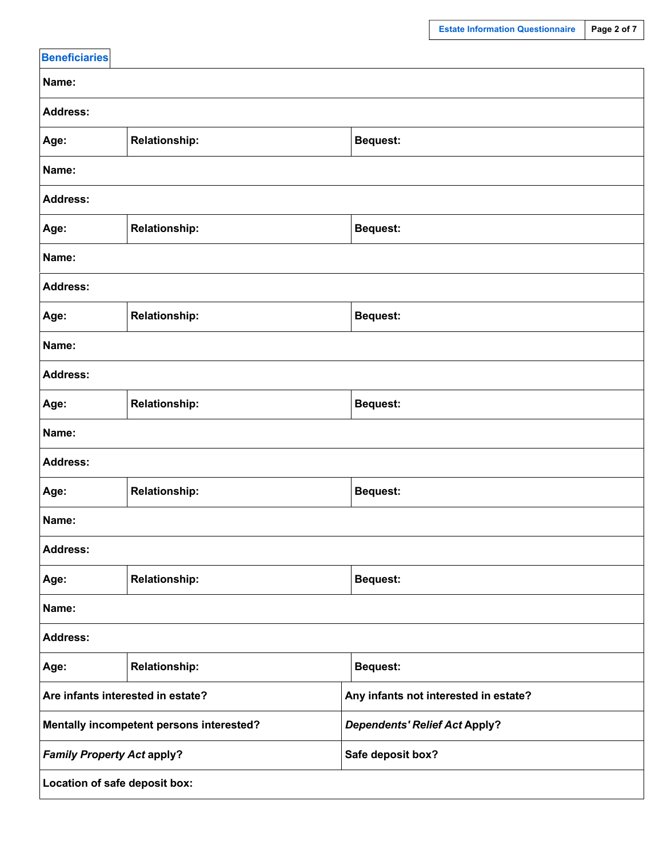| <b>Beneficiaries</b>                     |                      |                                       |  |  |  |
|------------------------------------------|----------------------|---------------------------------------|--|--|--|
| Name:                                    |                      |                                       |  |  |  |
| <b>Address:</b>                          |                      |                                       |  |  |  |
| Age:                                     | <b>Relationship:</b> | <b>Bequest:</b>                       |  |  |  |
| Name:                                    |                      |                                       |  |  |  |
| <b>Address:</b>                          |                      |                                       |  |  |  |
| Age:                                     | <b>Relationship:</b> | <b>Bequest:</b>                       |  |  |  |
| Name:                                    |                      |                                       |  |  |  |
| <b>Address:</b>                          |                      |                                       |  |  |  |
| Age:                                     | <b>Relationship:</b> | <b>Bequest:</b>                       |  |  |  |
| Name:                                    |                      |                                       |  |  |  |
| <b>Address:</b>                          |                      |                                       |  |  |  |
| Age:                                     | <b>Relationship:</b> | <b>Bequest:</b>                       |  |  |  |
| Name:                                    |                      |                                       |  |  |  |
| <b>Address:</b>                          |                      |                                       |  |  |  |
| Age:                                     | <b>Relationship:</b> | <b>Bequest:</b>                       |  |  |  |
| Name:                                    |                      |                                       |  |  |  |
| <b>Address:</b>                          |                      |                                       |  |  |  |
| Age:                                     | <b>Relationship:</b> | <b>Bequest:</b>                       |  |  |  |
| Name:                                    |                      |                                       |  |  |  |
| <b>Address:</b>                          |                      |                                       |  |  |  |
| Age:                                     | <b>Relationship:</b> | <b>Bequest:</b>                       |  |  |  |
| Are infants interested in estate?        |                      | Any infants not interested in estate? |  |  |  |
| Mentally incompetent persons interested? |                      | <b>Dependents' Relief Act Apply?</b>  |  |  |  |
| <b>Family Property Act apply?</b>        |                      | Safe deposit box?                     |  |  |  |
| Location of safe deposit box:            |                      |                                       |  |  |  |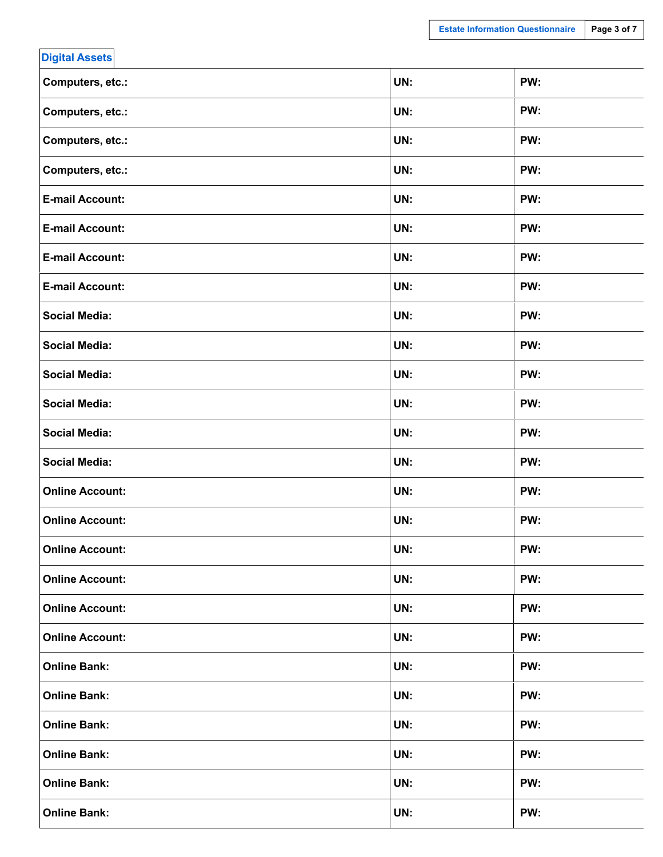| <b>Digital Assets</b>  |     |     |
|------------------------|-----|-----|
| Computers, etc.:       | UN: | PW: |
| Computers, etc.:       | UN: | PW: |
| Computers, etc.:       | UN: | PW: |
| Computers, etc.:       | UN: | PW: |
| <b>E-mail Account:</b> | UN: | PW: |
| <b>E-mail Account:</b> | UN: | PW: |
| <b>E-mail Account:</b> | UN: | PW: |
| <b>E-mail Account:</b> | UN: | PW: |
| <b>Social Media:</b>   | UN: | PW: |
| <b>Social Media:</b>   | UN: | PW: |
| <b>Social Media:</b>   | UN: | PW: |
| <b>Social Media:</b>   | UN: | PW: |
| <b>Social Media:</b>   | UN: | PW: |
| <b>Social Media:</b>   | UN: | PW: |
| <b>Online Account:</b> | UN: | PW: |
| <b>Online Account:</b> | UN: | PW: |
| <b>Online Account:</b> | UN: | PW: |
| <b>Online Account:</b> | UN: | PW: |
| <b>Online Account:</b> | UN: | PW: |
| <b>Online Account:</b> | UN: | PW: |
| <b>Online Bank:</b>    | UN: | PW: |
| <b>Online Bank:</b>    | UN: | PW: |
| <b>Online Bank:</b>    | UN: | PW: |
| <b>Online Bank:</b>    | UN: | PW: |
| <b>Online Bank:</b>    | UN: | PW: |
| <b>Online Bank:</b>    | UN: | PW: |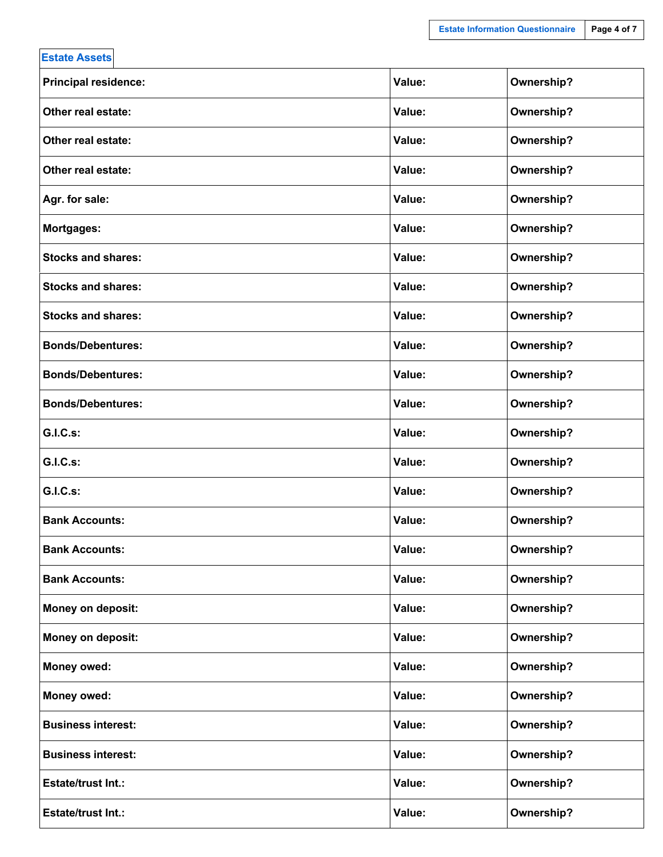| <b>Estate Assets</b>        |        |            |
|-----------------------------|--------|------------|
| <b>Principal residence:</b> | Value: | Ownership? |
| Other real estate:          | Value: | Ownership? |
| Other real estate:          | Value: | Ownership? |
| Other real estate:          | Value: | Ownership? |
| Agr. for sale:              | Value: | Ownership? |
| Mortgages:                  | Value: | Ownership? |
| <b>Stocks and shares:</b>   | Value: | Ownership? |
| <b>Stocks and shares:</b>   | Value: | Ownership? |
| <b>Stocks and shares:</b>   | Value: | Ownership? |
| <b>Bonds/Debentures:</b>    | Value: | Ownership? |
| <b>Bonds/Debentures:</b>    | Value: | Ownership? |
| <b>Bonds/Debentures:</b>    | Value: | Ownership? |
| <b>G.I.C.s:</b>             | Value: | Ownership? |
| <b>G.I.C.s:</b>             | Value: | Ownership? |
| <b>G.I.C.s:</b>             | Value: | Ownership? |
| <b>Bank Accounts:</b>       | Value: | Ownership? |
| <b>Bank Accounts:</b>       | Value: | Ownership? |
| <b>Bank Accounts:</b>       | Value: | Ownership? |
| Money on deposit:           | Value: | Ownership? |
| Money on deposit:           | Value: | Ownership? |
| <b>Money owed:</b>          | Value: | Ownership? |
| Money owed:                 | Value: | Ownership? |
| <b>Business interest:</b>   | Value: | Ownership? |
| <b>Business interest:</b>   | Value: | Ownership? |
| <b>Estate/trust Int.:</b>   | Value: | Ownership? |
| <b>Estate/trust Int.:</b>   | Value: | Ownership? |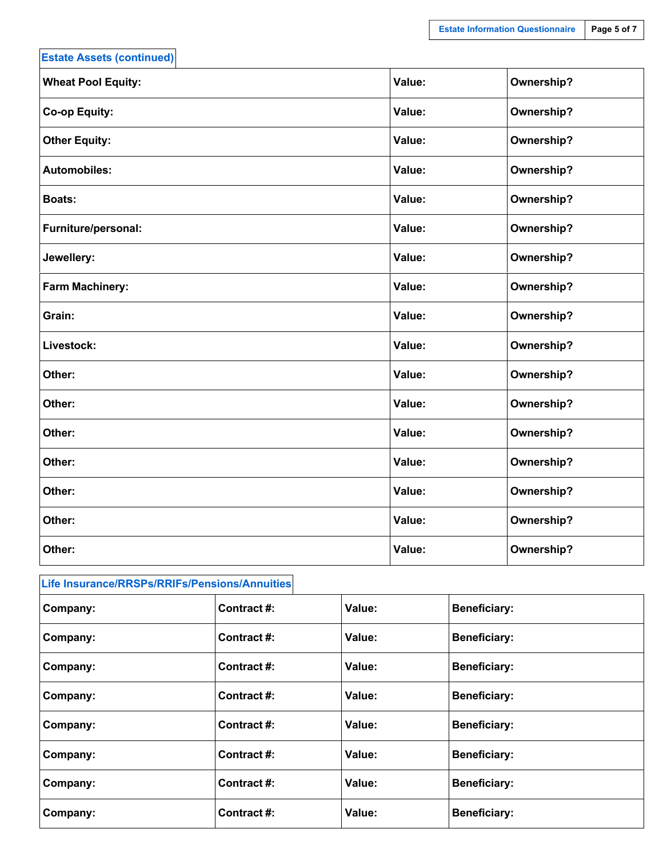| <b>Estate Assets (continued)</b> |        |            |
|----------------------------------|--------|------------|
| <b>Wheat Pool Equity:</b>        | Value: | Ownership? |
| <b>Co-op Equity:</b>             | Value: | Ownership? |
| <b>Other Equity:</b>             | Value: | Ownership? |
| <b>Automobiles:</b>              | Value: | Ownership? |
| <b>Boats:</b>                    | Value: | Ownership? |
| Furniture/personal:              | Value: | Ownership? |
| Jewellery:                       | Value: | Ownership? |
| <b>Farm Machinery:</b>           | Value: | Ownership? |
| Grain:                           | Value: | Ownership? |
| Livestock:                       | Value: | Ownership? |
| Other:                           | Value: | Ownership? |
| Other:                           | Value: | Ownership? |
| Other:                           | Value: | Ownership? |
| Other:                           | Value: | Ownership? |
| Other:                           | Value: | Ownership? |
| Other:                           | Value: | Ownership? |
| Other:                           | Value: | Ownership? |

| Life Insurance/RRSPs/RRIFs/Pensions/Annuities |             |        |                     |  |
|-----------------------------------------------|-------------|--------|---------------------|--|
| Company:                                      | Contract#:  | Value: | <b>Beneficiary:</b> |  |
| Company:                                      | Contract#:  | Value: | <b>Beneficiary:</b> |  |
| Company:                                      | Contract #: | Value: | <b>Beneficiary:</b> |  |
| Company:                                      | Contract#:  | Value: | <b>Beneficiary:</b> |  |
| Company:                                      | Contract #: | Value: | <b>Beneficiary:</b> |  |
| Company:                                      | Contract#:  | Value: | <b>Beneficiary:</b> |  |
| Company:                                      | Contract#:  | Value: | <b>Beneficiary:</b> |  |
| Company:                                      | Contract#:  | Value: | <b>Beneficiary:</b> |  |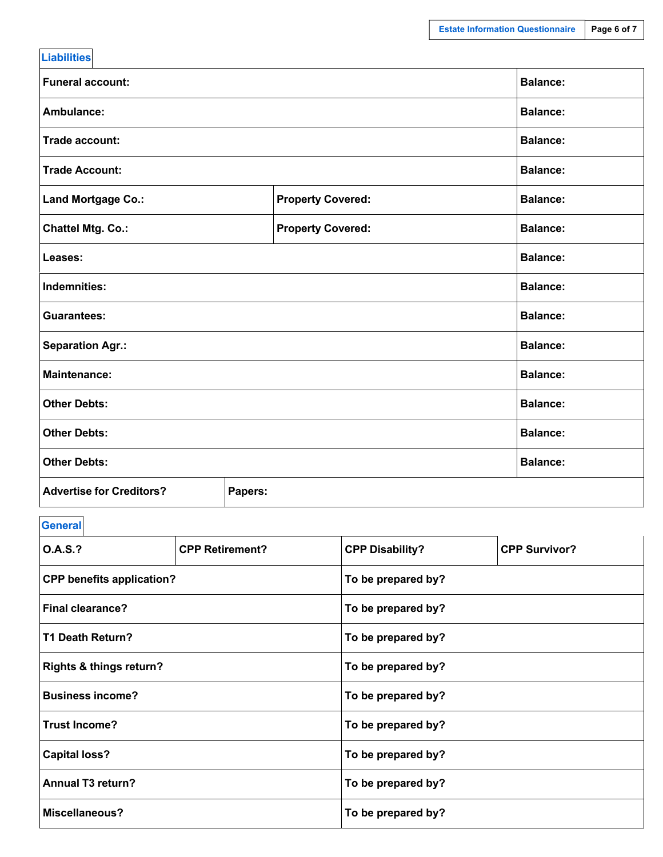| <b>Liabilities</b>              |                          |                 |
|---------------------------------|--------------------------|-----------------|
| <b>Funeral account:</b>         |                          | <b>Balance:</b> |
| Ambulance:                      |                          | <b>Balance:</b> |
| Trade account:                  |                          | <b>Balance:</b> |
| <b>Trade Account:</b>           |                          | <b>Balance:</b> |
| Land Mortgage Co.:              | <b>Property Covered:</b> | <b>Balance:</b> |
| <b>Chattel Mtg. Co.:</b>        | <b>Property Covered:</b> | <b>Balance:</b> |
| Leases:                         |                          | <b>Balance:</b> |
| Indemnities:                    |                          | <b>Balance:</b> |
| <b>Guarantees:</b>              |                          | <b>Balance:</b> |
| <b>Separation Agr.:</b>         |                          | <b>Balance:</b> |
| <b>Maintenance:</b>             |                          | <b>Balance:</b> |
| <b>Other Debts:</b>             |                          | <b>Balance:</b> |
| <b>Other Debts:</b>             |                          | <b>Balance:</b> |
| <b>Other Debts:</b>             |                          | <b>Balance:</b> |
| <b>Advertise for Creditors?</b> | Papers:                  |                 |

**General**

| <b>O.A.S.?</b>                                      | <b>CPP Retirement?</b> | <b>CPP Disability?</b> | <b>CPP Survivor?</b> |  |  |  |
|-----------------------------------------------------|------------------------|------------------------|----------------------|--|--|--|
| <b>CPP benefits application?</b>                    |                        | To be prepared by?     |                      |  |  |  |
| <b>Final clearance?</b>                             |                        | To be prepared by?     |                      |  |  |  |
| T1 Death Return?                                    | To be prepared by?     |                        |                      |  |  |  |
| <b>Rights &amp; things return?</b>                  |                        | To be prepared by?     |                      |  |  |  |
| <b>Business income?</b>                             |                        | To be prepared by?     |                      |  |  |  |
| <b>Trust Income?</b>                                |                        | To be prepared by?     |                      |  |  |  |
| <b>Capital loss?</b><br>To be prepared by?          |                        |                        |                      |  |  |  |
| Annual T <sub>3</sub> return?<br>To be prepared by? |                        |                        |                      |  |  |  |
| <b>Miscellaneous?</b>                               |                        | To be prepared by?     |                      |  |  |  |